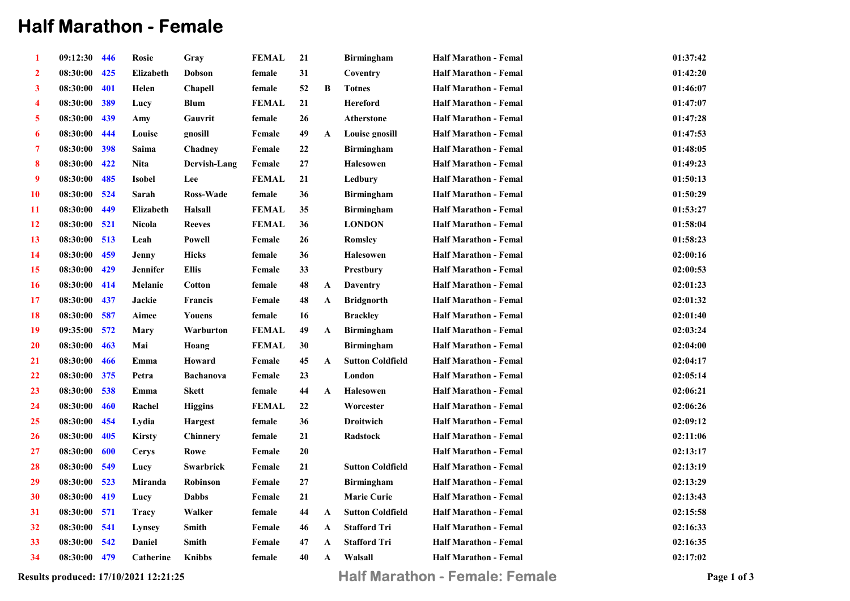## Half Marathon - Female

| 1            | 09:12:30 446 |     | Rosie            | Gray             | <b>FEMAL</b> | 21              |              | <b>Birmingham</b>       | <b>Half Marathon - Femal</b> | 01:37:42 |
|--------------|--------------|-----|------------------|------------------|--------------|-----------------|--------------|-------------------------|------------------------------|----------|
| $\mathbf{2}$ | 08:30:00     | 425 | <b>Elizabeth</b> | Dobson           | female       | 31              |              | Coventry                | <b>Half Marathon - Femal</b> | 01:42:20 |
| 3            | 08:30:00     | 401 | Helen            | Chapell          | female       | 52              | B            | <b>Totnes</b>           | <b>Half Marathon - Femal</b> | 01:46:07 |
| 4            | 08:30:00     | 389 | Lucy             | <b>Blum</b>      | <b>FEMAL</b> | 21              |              | <b>Hereford</b>         | <b>Half Marathon - Femal</b> | 01:47:07 |
| 5            | 08:30:00     | 439 | Amy              | Gauvrit          | female       | 26              |              | <b>Atherstone</b>       | <b>Half Marathon - Femal</b> | 01:47:28 |
| 6            | 08:30:00     | 444 | Louise           | gnosill          | Female       | 49              | A            | Louise gnosill          | <b>Half Marathon - Femal</b> | 01:47:53 |
| 7            | 08:30:00     | 398 | Saima            | Chadney          | Female       | $\bf{22}$       |              | <b>Birmingham</b>       | <b>Half Marathon - Femal</b> | 01:48:05 |
| 8            | 08:30:00     | 422 | <b>Nita</b>      | Dervish-Lang     | Female       | $27\,$          |              | <b>Halesowen</b>        | Half Marathon - Femal        | 01:49:23 |
| 9            | 08:30:00     | 485 | Isobel           | Lee              | <b>FEMAL</b> | 21              |              | Ledbury                 | <b>Half Marathon - Femal</b> | 01:50:13 |
| 10           | 08:30:00 524 |     | Sarah            | <b>Ross-Wade</b> | female       | 36              |              | <b>Birmingham</b>       | <b>Half Marathon - Femal</b> | 01:50:29 |
| 11           | 08:30:00     | 449 | Elizabeth        | Halsall          | <b>FEMAL</b> | 35              |              | <b>Birmingham</b>       | <b>Half Marathon - Femal</b> | 01:53:27 |
| 12           | 08:30:00 521 |     | Nicola           | <b>Reeves</b>    | <b>FEMAL</b> | 36              |              | <b>LONDON</b>           | <b>Half Marathon - Femal</b> | 01:58:04 |
| 13           | 08:30:00     | 513 | Leah             | Powell           | Female       | $26\phantom{.}$ |              | Romslev                 | <b>Half Marathon - Femal</b> | 01:58:23 |
| 14           | 08:30:00 459 |     | Jenny            | <b>Hicks</b>     | female       | 36              |              | <b>Halesowen</b>        | <b>Half Marathon - Femal</b> | 02:00:16 |
| 15           | 08:30:00     | 429 | Jennifer         | <b>Ellis</b>     | Female       | 33              |              | <b>Prestbury</b>        | <b>Half Marathon - Femal</b> | 02:00:53 |
| 16           | 08:30:00     | 414 | Melanie          | <b>Cotton</b>    | female       | 48              | $\mathbf{A}$ | <b>Daventry</b>         | <b>Half Marathon - Femal</b> | 02:01:23 |
| 17           | 08:30:00     | 437 | Jackie           | <b>Francis</b>   | Female       | 48              | $\mathbf{A}$ | <b>Bridgnorth</b>       | <b>Half Marathon - Femal</b> | 02:01:32 |
| 18           | 08:30:00     | 587 | Aimee            | Youens           | female       | 16              |              | <b>Brackley</b>         | <b>Half Marathon - Femal</b> | 02:01:40 |
| 19           | 09:35:00 572 |     | Mary             | Warburton        | <b>FEMAL</b> | 49              | A            | <b>Birmingham</b>       | <b>Half Marathon - Femal</b> | 02:03:24 |
| <b>20</b>    | 08:30:00     | 463 | Mai              | Hoang            | <b>FEMAL</b> | 30              |              | <b>Birmingham</b>       | <b>Half Marathon - Femal</b> | 02:04:00 |
| <b>21</b>    | 08:30:00     | 466 | Emma             | Howard           | Female       | 45              | $\mathbf A$  | <b>Sutton Coldfield</b> | <b>Half Marathon - Femal</b> | 02:04:17 |
| 22           | 08:30:00     | 375 | Petra            | <b>Bachanova</b> | Female       | 23              |              | London                  | <b>Half Marathon - Femal</b> | 02:05:14 |
| 23           | 08:30:00     | 538 | Emma             | <b>Skett</b>     | female       | 44              | $\mathbf{A}$ | <b>Halesowen</b>        | <b>Half Marathon - Femal</b> | 02:06:21 |
| 24           | 08:30:00     | 460 | Rachel           | <b>Higgins</b>   | <b>FEMAL</b> | 22              |              | Worcester               | <b>Half Marathon - Femal</b> | 02:06:26 |
| 25           | 08:30:00     | 454 | Lydia            | <b>Hargest</b>   | female       | 36              |              | <b>Droitwich</b>        | <b>Half Marathon - Femal</b> | 02:09:12 |
| 26           | 08:30:00     | 405 | <b>Kirsty</b>    | Chinnery         | female       | 21              |              | Radstock                | <b>Half Marathon - Femal</b> | 02:11:06 |
| 27           | 08:30:00     | 600 | <b>Cerys</b>     | Rowe             | Female       | $20\,$          |              |                         | <b>Half Marathon - Femal</b> | 02:13:17 |
| 28           | 08:30:00     | 549 | Lucy             | Swarbrick        | Female       | 21              |              | <b>Sutton Coldfield</b> | <b>Half Marathon - Femal</b> | 02:13:19 |
| 29           | 08:30:00 523 |     | Miranda          | Robinson         | Female       | $\bf 27$        |              | <b>Birmingham</b>       | <b>Half Marathon - Femal</b> | 02:13:29 |
| 30           | 08:30:00 419 |     | Lucy             | <b>Dabbs</b>     | Female       | 21              |              | <b>Marie Curie</b>      | <b>Half Marathon - Femal</b> | 02:13:43 |
| 31           | 08:30:00     | 571 | <b>Tracy</b>     | Walker           | female       | 44              | A            | <b>Sutton Coldfield</b> | <b>Half Marathon - Femal</b> | 02:15:58 |
| 32           | 08:30:00 541 |     | Lynsey           | Smith            | Female       | 46              | $\mathbf{A}$ | <b>Stafford Tri</b>     | <b>Half Marathon - Femal</b> | 02:16:33 |
| 33           | 08:30:00     | 542 | <b>Daniel</b>    | <b>Smith</b>     | Female       | 47              | A            | <b>Stafford Tri</b>     | <b>Half Marathon - Femal</b> | 02:16:35 |
| 34           | 08:30:00 479 |     | Catherine        | <b>Knibbs</b>    | female       | 40              | A            | Walsall                 | <b>Half Marathon - Femal</b> | 02:17:02 |
|              |              |     |                  |                  |              |                 |              |                         |                              |          |

Results produced: 17/10/2021 12:21:25 **Half Marathon - Female: Female** Page 1 of 3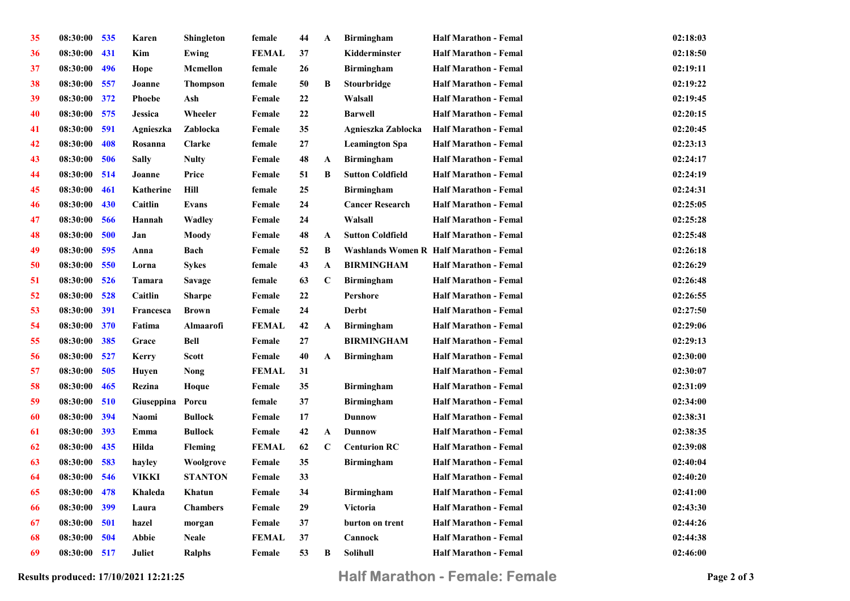| 35 | 08:30:00 535 |     | Karen            | Shingleton      | female       | 44     | A            | <b>Birmingham</b>       | <b>Half Marathon - Femal</b>            | 02:18:03 |
|----|--------------|-----|------------------|-----------------|--------------|--------|--------------|-------------------------|-----------------------------------------|----------|
| 36 | 08:30:00     | 431 | Kim              | Ewing           | <b>FEMAL</b> | 37     |              | Kidderminster           | <b>Half Marathon - Femal</b>            | 02:18:50 |
| 37 | 08:30:00     | 496 | Hope             | <b>Mcmellon</b> | female       | $26\,$ |              | <b>Birmingham</b>       | <b>Half Marathon - Femal</b>            | 02:19:11 |
| 38 | 08:30:00 557 |     | Joanne           | <b>Thompson</b> | female       | 50     | B            | <b>Stourbridge</b>      | <b>Half Marathon - Femal</b>            | 02:19:22 |
| 39 | 08:30:00 372 |     | <b>Phoebe</b>    | Ash             | Female       | 22     |              | Walsall                 | <b>Half Marathon - Femal</b>            | 02:19:45 |
| 40 | 08:30:00     | 575 | Jessica          | Wheeler         | Female       | $22\,$ |              | <b>Barwell</b>          | <b>Half Marathon - Femal</b>            | 02:20:15 |
| 41 | 08:30:00     | 591 | Agnieszka        | Zablocka        | Female       | 35     |              | Agnieszka Zablocka      | <b>Half Marathon - Femal</b>            | 02:20:45 |
| 42 | 08:30:00     | 408 | Rosanna          | Clarke          | female       | $27\,$ |              | <b>Leamington Spa</b>   | <b>Half Marathon - Femal</b>            | 02:23:13 |
| 43 | 08:30:00     | 506 | <b>Sally</b>     | <b>Nulty</b>    | Female       | 48     | $\mathbf{A}$ | <b>Birmingham</b>       | <b>Half Marathon - Femal</b>            | 02:24:17 |
| 44 | 08:30:00 514 |     | Joanne           | Price           | Female       | 51     | B            | <b>Sutton Coldfield</b> | <b>Half Marathon - Femal</b>            | 02:24:19 |
| 45 | 08:30:00     | 461 | Katherine        | Hill            | female       | 25     |              | <b>Birmingham</b>       | <b>Half Marathon - Femal</b>            | 02:24:31 |
| 46 | 08:30:00     | 430 | Caitlin          | <b>Evans</b>    | Female       | 24     |              | <b>Cancer Research</b>  | <b>Half Marathon - Femal</b>            | 02:25:05 |
| 47 | 08:30:00     | 566 | Hannah           | <b>Wadley</b>   | Female       | 24     |              | Walsall                 | <b>Half Marathon - Femal</b>            | 02:25:28 |
| 48 | 08:30:00     | 500 | Jan              | Moody           | Female       | 48     | $\mathbf{A}$ | <b>Sutton Coldfield</b> | <b>Half Marathon - Femal</b>            | 02:25:48 |
| 49 | 08:30:00     | 595 | Anna             | Bach            | Female       | 52     | B            |                         | Washlands Women R Half Marathon - Femal | 02:26:18 |
| 50 | 08:30:00     | 550 | Lorna            | <b>Sykes</b>    | female       | 43     | $\mathbf A$  | <b>BIRMINGHAM</b>       | <b>Half Marathon - Femal</b>            | 02:26:29 |
| 51 | 08:30:00     | 526 | <b>Tamara</b>    | Savage          | female       | 63     | $\mathbf C$  | <b>Birmingham</b>       | <b>Half Marathon - Femal</b>            | 02:26:48 |
| 52 | 08:30:00     | 528 | Caitlin          | <b>Sharpe</b>   | Female       | $22\,$ |              | Pershore                | <b>Half Marathon - Femal</b>            | 02:26:55 |
| 53 | 08:30:00     | 391 | Francesca        | <b>Brown</b>    | Female       | 24     |              | <b>Derbt</b>            | <b>Half Marathon - Femal</b>            | 02:27:50 |
| 54 | 08:30:00     | 370 | Fatima           | Almaarofi       | <b>FEMAL</b> | 42     | $\mathbf{A}$ | <b>Birmingham</b>       | <b>Half Marathon - Femal</b>            | 02:29:06 |
| 55 | 08:30:00     | 385 | Grace            | <b>Bell</b>     | Female       | $27\,$ |              | <b>BIRMINGHAM</b>       | <b>Half Marathon - Femal</b>            | 02:29:13 |
| 56 | 08:30:00     | 527 | Kerry            | Scott           | Female       | 40     | A            | <b>Birmingham</b>       | <b>Half Marathon - Femal</b>            | 02:30:00 |
| 57 | 08:30:00     | 505 | Huyen            | Nong            | <b>FEMAL</b> | 31     |              |                         | <b>Half Marathon - Femal</b>            | 02:30:07 |
| 58 | 08:30:00     | 465 | Rezina           | Hoque           | Female       | 35     |              | <b>Birmingham</b>       | <b>Half Marathon - Femal</b>            | 02:31:09 |
| 59 | 08:30:00 510 |     | Giuseppina Porcu |                 | female       | 37     |              | <b>Birmingham</b>       | <b>Half Marathon - Femal</b>            | 02:34:00 |
| 60 | 08:30:00     | 394 | Naomi            | <b>Bullock</b>  | Female       | 17     |              | <b>Dunnow</b>           | <b>Half Marathon - Femal</b>            | 02:38:31 |
| 61 | 08:30:00     | 393 | Emma             | <b>Bullock</b>  | Female       | 42     | $\mathbf{A}$ | <b>Dunnow</b>           | <b>Half Marathon - Femal</b>            | 02:38:35 |
| 62 | 08:30:00     | 435 | Hilda            | <b>Fleming</b>  | <b>FEMAL</b> | 62     | $\mathbf C$  | <b>Centurion RC</b>     | <b>Half Marathon - Femal</b>            | 02:39:08 |
| 63 | 08:30:00     | 583 | hayley           | Woolgrove       | Female       | 35     |              | <b>Birmingham</b>       | <b>Half Marathon - Femal</b>            | 02:40:04 |
| 64 | 08:30:00     | 546 | VIKKI            | <b>STANTON</b>  | Female       | 33     |              |                         | <b>Half Marathon - Femal</b>            | 02:40:20 |
| 65 | 08:30:00     | 478 | Khaleda          | Khatun          | Female       | 34     |              | Birmingham              | <b>Half Marathon - Femal</b>            | 02:41:00 |
| 66 | 08:30:00     | 399 | Laura            | <b>Chambers</b> | Female       | 29     |              | Victoria                | <b>Half Marathon - Femal</b>            | 02:43:30 |
| 67 | 08:30:00     | 501 | hazel            | morgan          | Female       | 37     |              | burton on trent         | <b>Half Marathon - Femal</b>            | 02:44:26 |
| 68 | 08:30:00     | 504 | <b>Abbie</b>     | <b>Neale</b>    | <b>FEMAL</b> | 37     |              | Cannock                 | <b>Half Marathon - Femal</b>            | 02:44:38 |
| 69 | 08:30:00     | 517 | Juliet           | Ralphs          | Female       | 53     | В            | <b>Solihull</b>         | <b>Half Marathon - Femal</b>            | 02:46:00 |

Results produced: 17/10/2021 12:21:25 **Half Marathon - Female: Female** Page 2 of 3